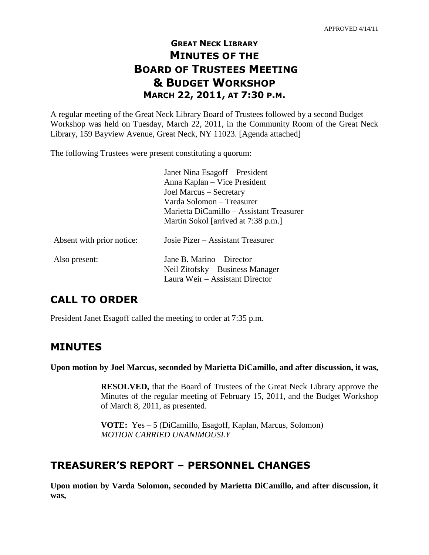# **GREAT NECK LIBRARY MINUTES OF THE BOARD OF TRUSTEES MEETING & BUDGET WORKSHOP MARCH 22, 2011, AT 7:30 P.M.**

A regular meeting of the Great Neck Library Board of Trustees followed by a second Budget Workshop was held on Tuesday, March 22, 2011, in the Community Room of the Great Neck Library, 159 Bayview Avenue, Great Neck, NY 11023. [Agenda attached]

The following Trustees were present constituting a quorum:

|                           | Janet Nina Esagoff – President<br>Anna Kaplan – Vice President<br>Joel Marcus - Secretary<br>Varda Solomon – Treasurer<br>Marietta DiCamillo – Assistant Treasurer<br>Martin Sokol [arrived at 7:38 p.m.] |
|---------------------------|-----------------------------------------------------------------------------------------------------------------------------------------------------------------------------------------------------------|
| Absent with prior notice: | Josie Pizer – Assistant Treasurer                                                                                                                                                                         |
| Also present:             | Jane B. Marino – Director<br>Neil Zitofsky – Business Manager<br>Laura Weir – Assistant Director                                                                                                          |

# **CALL TO ORDER**

President Janet Esagoff called the meeting to order at 7:35 p.m.

## **MINUTES**

**Upon motion by Joel Marcus, seconded by Marietta DiCamillo, and after discussion, it was,**

**RESOLVED,** that the Board of Trustees of the Great Neck Library approve the Minutes of the regular meeting of February 15, 2011, and the Budget Workshop of March 8, 2011, as presented.

**VOTE:** Yes – 5 (DiCamillo, Esagoff, Kaplan, Marcus, Solomon) *MOTION CARRIED UNANIMOUSLY*

# **TREASURER'S REPORT – PERSONNEL CHANGES**

**Upon motion by Varda Solomon, seconded by Marietta DiCamillo, and after discussion, it was,**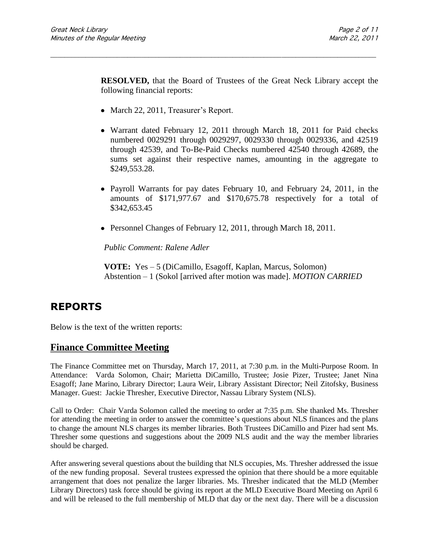**RESOLVED,** that the Board of Trustees of the Great Neck Library accept the following financial reports:

\_\_\_\_\_\_\_\_\_\_\_\_\_\_\_\_\_\_\_\_\_\_\_\_\_\_\_\_\_\_\_\_\_\_\_\_\_\_\_\_\_\_\_\_\_\_\_\_\_\_\_\_\_\_\_\_\_\_\_\_\_\_\_\_\_\_\_\_\_\_\_\_\_\_\_\_\_\_\_\_\_\_\_\_\_\_\_\_\_\_\_\_\_

- March 22, 2011, Treasurer's Report.
- Warrant dated February 12, 2011 through March 18, 2011 for Paid checks numbered 0029291 through 0029297, 0029330 through 0029336, and 42519 through 42539, and To-Be-Paid Checks numbered 42540 through 42689, the sums set against their respective names, amounting in the aggregate to \$249,553.28.
- Payroll Warrants for pay dates February 10, and February 24, 2011, in the amounts of \$171,977.67 and \$170,675.78 respectively for a total of \$342,653.45
- Personnel Changes of February 12, 2011, through March 18, 2011.

*Public Comment: Ralene Adler*

**VOTE:** Yes – 5 (DiCamillo, Esagoff, Kaplan, Marcus, Solomon) Abstention – 1 (Sokol [arrived after motion was made]. *MOTION CARRIED* 

## **REPORTS**

Below is the text of the written reports:

## **Finance Committee Meeting**

The Finance Committee met on Thursday, March 17, 2011, at 7:30 p.m. in the Multi-Purpose Room. In Attendance:Varda Solomon, Chair; Marietta DiCamillo, Trustee; Josie Pizer, Trustee; Janet Nina Esagoff; Jane Marino, Library Director; Laura Weir, Library Assistant Director; Neil Zitofsky, Business Manager. Guest:Jackie Thresher, Executive Director, Nassau Library System (NLS).

Call to Order:Chair Varda Solomon called the meeting to order at 7:35 p.m. She thanked Ms. Thresher for attending the meeting in order to answer the committee's questions about NLS finances and the plans to change the amount NLS charges its member libraries. Both Trustees DiCamillo and Pizer had sent Ms. Thresher some questions and suggestions about the 2009 NLS audit and the way the member libraries should be charged.

After answering several questions about the building that NLS occupies, Ms. Thresher addressed the issue of the new funding proposal. Several trustees expressed the opinion that there should be a more equitable arrangement that does not penalize the larger libraries. Ms. Thresher indicated that the MLD (Member Library Directors) task force should be giving its report at the MLD Executive Board Meeting on April 6 and will be released to the full membership of MLD that day or the next day. There will be a discussion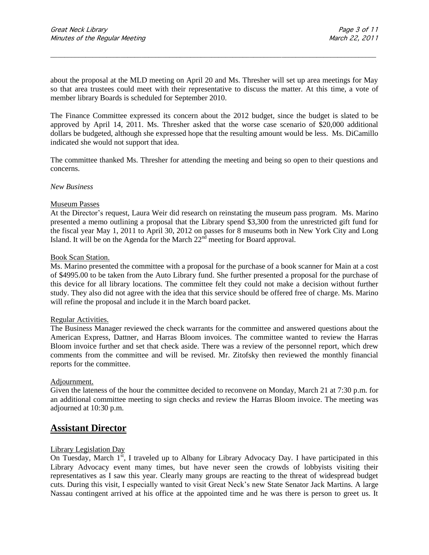about the proposal at the MLD meeting on April 20 and Ms. Thresher will set up area meetings for May so that area trustees could meet with their representative to discuss the matter. At this time, a vote of member library Boards is scheduled for September 2010.

\_\_\_\_\_\_\_\_\_\_\_\_\_\_\_\_\_\_\_\_\_\_\_\_\_\_\_\_\_\_\_\_\_\_\_\_\_\_\_\_\_\_\_\_\_\_\_\_\_\_\_\_\_\_\_\_\_\_\_\_\_\_\_\_\_\_\_\_\_\_\_\_\_\_\_\_\_\_\_\_\_\_\_\_\_\_\_\_\_\_\_\_\_

The Finance Committee expressed its concern about the 2012 budget, since the budget is slated to be approved by April 14, 2011. Ms. Thresher asked that the worse case scenario of \$20,000 additional dollars be budgeted, although she expressed hope that the resulting amount would be less. Ms. DiCamillo indicated she would not support that idea.

The committee thanked Ms. Thresher for attending the meeting and being so open to their questions and concerns.

#### *New Business*

#### Museum Passes

At the Director's request, Laura Weir did research on reinstating the museum pass program. Ms. Marino presented a memo outlining a proposal that the Library spend \$3,300 from the unrestricted gift fund for the fiscal year May 1, 2011 to April 30, 2012 on passes for 8 museums both in New York City and Long Island. It will be on the Agenda for the March  $22<sup>nd</sup>$  meeting for Board approval.

#### Book Scan Station.

Ms. Marino presented the committee with a proposal for the purchase of a book scanner for Main at a cost of \$4995.00 to be taken from the Auto Library fund. She further presented a proposal for the purchase of this device for all library locations. The committee felt they could not make a decision without further study. They also did not agree with the idea that this service should be offered free of charge. Ms. Marino will refine the proposal and include it in the March board packet.

#### Regular Activities.

The Business Manager reviewed the check warrants for the committee and answered questions about the American Express, Dattner, and Harras Bloom invoices. The committee wanted to review the Harras Bloom invoice further and set that check aside. There was a review of the personnel report, which drew comments from the committee and will be revised. Mr. Zitofsky then reviewed the monthly financial reports for the committee.

### Adjournment.

Given the lateness of the hour the committee decided to reconvene on Monday, March 21 at 7:30 p.m. for an additional committee meeting to sign checks and review the Harras Bloom invoice. The meeting was adjourned at 10:30 p.m.

## **Assistant Director**

#### Library Legislation Day

On Tuesday, March  $1<sup>st</sup>$ , I traveled up to Albany for Library Advocacy Day. I have participated in this Library Advocacy event many times, but have never seen the crowds of lobbyists visiting their representatives as I saw this year. Clearly many groups are reacting to the threat of widespread budget cuts. During this visit, I especially wanted to visit Great Neck's new State Senator Jack Martins. A large Nassau contingent arrived at his office at the appointed time and he was there is person to greet us. It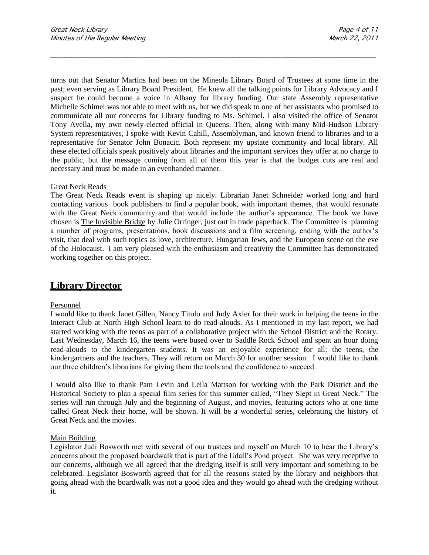turns out that Senator Martins had been on the Mineola Library Board of Trustees at some time in the past; even serving as Library Board President. He knew all the talking points for Library Advocacy and I suspect he could become a voice in Albany for library funding. Our state Assembly representative Michelle Schimel was not able to meet with us, but we did speak to one of her assistants who promised to communicate all our concerns for Library funding to Ms. Schimel. I also visited the office of Senator Tony Avella, my own newly-elected official in Queens. Then, along with many Mid-Hudson Library System representatives, I spoke with Kevin Cahill, Assemblyman, and known friend to libraries and to a representative for Senator John Bonacic. Both represent my upstate community and local library. All these elected officials speak positively about libraries and the important services they offer at no charge to the public, but the message coming from all of them this year is that the budget cuts are real and necessary and must be made in an evenhanded manner.

\_\_\_\_\_\_\_\_\_\_\_\_\_\_\_\_\_\_\_\_\_\_\_\_\_\_\_\_\_\_\_\_\_\_\_\_\_\_\_\_\_\_\_\_\_\_\_\_\_\_\_\_\_\_\_\_\_\_\_\_\_\_\_\_\_\_\_\_\_\_\_\_\_\_\_\_\_\_\_\_\_\_\_\_\_\_\_\_\_\_\_\_\_

#### Great Neck Reads

The Great Neck Reads event is shaping up nicely. Librarian Janet Schneider worked long and hard contacting various book publishers to find a popular book, with important themes, that would resonate with the Great Neck community and that would include the author's appearance. The book we have chosen is The Invisible Bridge by Julie Orringer, just out in trade paperback. The Committee is planning a number of programs, presentations, book discussions and a film screening, ending with the author's visit, that deal with such topics as love, architecture, Hungarian Jews, and the European scene on the eve of the Holocaust. I am very pleased with the enthusiasm and creativity the Committee has demonstrated working together on this project.

## **Library Director**

#### Personnel

I would like to thank Janet Gillen, Nancy Titolo and Judy Axler for their work in helping the teens in the Interact Club at North High School learn to do read-alouds. As I mentioned in my last report, we had started working with the teens as part of a collaborative project with the School District and the Rotary. Last Wednesday, March 16, the teens were bused over to Saddle Rock School and spent an hour doing read-alouds to the kindergarten students. It was an enjoyable experience for all: the teens, the kindergartners and the teachers. They will return on March 30 for another session. I would like to thank our three children's librarians for giving them the tools and the confidence to succeed.

I would also like to thank Pam Levin and Leila Mattson for working with the Park District and the Historical Society to plan a special film series for this summer called, "They Slept in Great Neck." The series will run through July and the beginning of August, and movies, featuring actors who at one time called Great Neck their home, will be shown. It will be a wonderful series, celebrating the history of Great Neck and the movies.

### Main Building

Legislator Judi Bosworth met with several of our trustees and myself on March 10 to hear the Library's concerns about the proposed boardwalk that is part of the Udall's Pond project. She was very receptive to our concerns, although we all agreed that the dredging itself is still very important and something to be celebrated. Legislator Bosworth agreed that for all the reasons stated by the library and neighbors that going ahead with the boardwalk was not a good idea and they would go ahead with the dredging without it.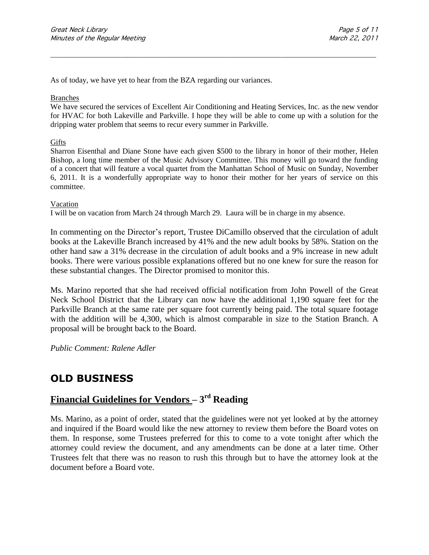As of today, we have yet to hear from the BZA regarding our variances.

### Branches

We have secured the services of Excellent Air Conditioning and Heating Services, Inc. as the new vendor for HVAC for both Lakeville and Parkville. I hope they will be able to come up with a solution for the dripping water problem that seems to recur every summer in Parkville.

\_\_\_\_\_\_\_\_\_\_\_\_\_\_\_\_\_\_\_\_\_\_\_\_\_\_\_\_\_\_\_\_\_\_\_\_\_\_\_\_\_\_\_\_\_\_\_\_\_\_\_\_\_\_\_\_\_\_\_\_\_\_\_\_\_\_\_\_\_\_\_\_\_\_\_\_\_\_\_\_\_\_\_\_\_\_\_\_\_\_\_\_\_

### **Gifts**

Sharron Eisenthal and Diane Stone have each given \$500 to the library in honor of their mother, Helen Bishop, a long time member of the Music Advisory Committee. This money will go toward the funding of a concert that will feature a vocal quartet from the Manhattan School of Music on Sunday, November 6, 2011. It is a wonderfully appropriate way to honor their mother for her years of service on this committee.

#### Vacation

I will be on vacation from March 24 through March 29. Laura will be in charge in my absence.

In commenting on the Director's report, Trustee DiCamillo observed that the circulation of adult books at the Lakeville Branch increased by 41% and the new adult books by 58%. Station on the other hand saw a 31% decrease in the circulation of adult books and a 9% increase in new adult books. There were various possible explanations offered but no one knew for sure the reason for these substantial changes. The Director promised to monitor this.

Ms. Marino reported that she had received official notification from John Powell of the Great Neck School District that the Library can now have the additional 1,190 square feet for the Parkville Branch at the same rate per square foot currently being paid. The total square footage with the addition will be 4,300, which is almost comparable in size to the Station Branch. A proposal will be brought back to the Board.

*Public Comment: Ralene Adler*

## **OLD BUSINESS**

# **Financial Guidelines for Vendors – 3 rd Reading**

Ms. Marino, as a point of order, stated that the guidelines were not yet looked at by the attorney and inquired if the Board would like the new attorney to review them before the Board votes on them. In response, some Trustees preferred for this to come to a vote tonight after which the attorney could review the document, and any amendments can be done at a later time. Other Trustees felt that there was no reason to rush this through but to have the attorney look at the document before a Board vote.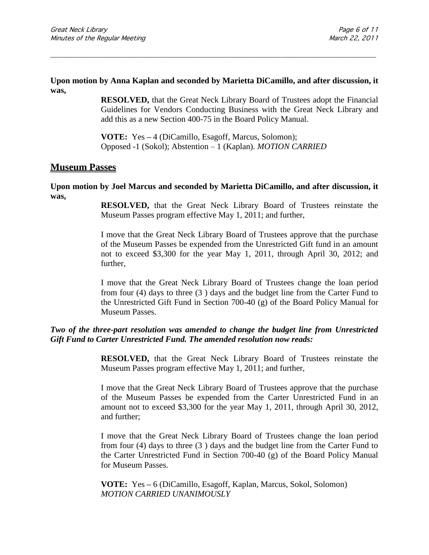### **Upon motion by Anna Kaplan and seconded by Marietta DiCamillo, and after discussion, it was,**

\_\_\_\_\_\_\_\_\_\_\_\_\_\_\_\_\_\_\_\_\_\_\_\_\_\_\_\_\_\_\_\_\_\_\_\_\_\_\_\_\_\_\_\_\_\_\_\_\_\_\_\_\_\_\_\_\_\_\_\_\_\_\_\_\_\_\_\_\_\_\_\_\_\_\_\_\_\_\_\_\_\_\_\_\_\_\_\_\_\_\_\_\_

**RESOLVED,** that the Great Neck Library Board of Trustees adopt the Financial Guidelines for Vendors Conducting Business with the Great Neck Library and add this as a new Section 400-75 in the Board Policy Manual.

**VOTE:** Yes **–** 4 (DiCamillo, Esagoff, Marcus, Solomon); Opposed -1 (Sokol); Abstention – 1 (Kaplan). *MOTION CARRIED* 

## **Museum Passes**

### **Upon motion by Joel Marcus and seconded by Marietta DiCamillo, and after discussion, it was,**

**RESOLVED,** that the Great Neck Library Board of Trustees reinstate the Museum Passes program effective May 1, 2011; and further,

I move that the Great Neck Library Board of Trustees approve that the purchase of the Museum Passes be expended from the Unrestricted Gift fund in an amount not to exceed \$3,300 for the year May 1, 2011, through April 30, 2012; and further,

I move that the Great Neck Library Board of Trustees change the loan period from four (4) days to three (3 ) days and the budget line from the Carter Fund to the Unrestricted Gift Fund in Section 700-40 (g) of the Board Policy Manual for Museum Passes.

## *Two of the three-part resolution was amended to change the budget line from Unrestricted Gift Fund to Carter Unrestricted Fund. The amended resolution now reads:*

**RESOLVED,** that the Great Neck Library Board of Trustees reinstate the Museum Passes program effective May 1, 2011; and further,

I move that the Great Neck Library Board of Trustees approve that the purchase of the Museum Passes be expended from the Carter Unrestricted Fund in an amount not to exceed \$3,300 for the year May 1, 2011, through April 30, 2012, and further;

I move that the Great Neck Library Board of Trustees change the loan period from four (4) days to three (3 ) days and the budget line from the Carter Fund to the Carter Unrestricted Fund in Section 700-40 (g) of the Board Policy Manual for Museum Passes.

**VOTE:** Yes **–** 6 (DiCamillo, Esagoff, Kaplan, Marcus, Sokol, Solomon) *MOTION CARRIED UNANIMOUSLY*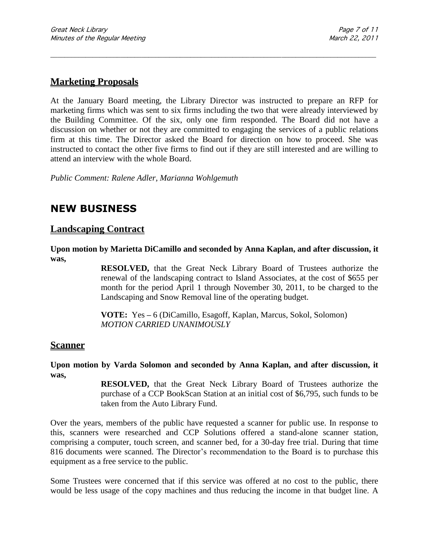## **Marketing Proposals**

At the January Board meeting, the Library Director was instructed to prepare an RFP for marketing firms which was sent to six firms including the two that were already interviewed by the Building Committee. Of the six, only one firm responded. The Board did not have a discussion on whether or not they are committed to engaging the services of a public relations firm at this time. The Director asked the Board for direction on how to proceed. She was instructed to contact the other five firms to find out if they are still interested and are willing to attend an interview with the whole Board.

\_\_\_\_\_\_\_\_\_\_\_\_\_\_\_\_\_\_\_\_\_\_\_\_\_\_\_\_\_\_\_\_\_\_\_\_\_\_\_\_\_\_\_\_\_\_\_\_\_\_\_\_\_\_\_\_\_\_\_\_\_\_\_\_\_\_\_\_\_\_\_\_\_\_\_\_\_\_\_\_\_\_\_\_\_\_\_\_\_\_\_\_\_

*Public Comment: Ralene Adler, Marianna Wohlgemuth*

# **NEW BUSINESS**

## **Landscaping Contract**

**Upon motion by Marietta DiCamillo and seconded by Anna Kaplan, and after discussion, it was,**

> **RESOLVED,** that the Great Neck Library Board of Trustees authorize the renewal of the landscaping contract to Island Associates, at the cost of \$655 per month for the period April 1 through November 30, 2011, to be charged to the Landscaping and Snow Removal line of the operating budget.

**VOTE:** Yes **–** 6 (DiCamillo, Esagoff, Kaplan, Marcus, Sokol, Solomon) *MOTION CARRIED UNANIMOUSLY*

### **Scanner**

**Upon motion by Varda Solomon and seconded by Anna Kaplan, and after discussion, it was,**

> **RESOLVED,** that the Great Neck Library Board of Trustees authorize the purchase of a CCP BookScan Station at an initial cost of \$6,795, such funds to be taken from the Auto Library Fund.

Over the years, members of the public have requested a scanner for public use. In response to this, scanners were researched and CCP Solutions offered a stand-alone scanner station, comprising a computer, touch screen, and scanner bed, for a 30-day free trial. During that time 816 documents were scanned. The Director's recommendation to the Board is to purchase this equipment as a free service to the public.

Some Trustees were concerned that if this service was offered at no cost to the public, there would be less usage of the copy machines and thus reducing the income in that budget line. A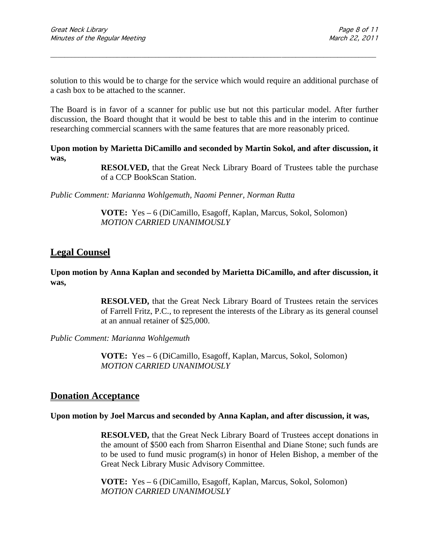solution to this would be to charge for the service which would require an additional purchase of a cash box to be attached to the scanner.

\_\_\_\_\_\_\_\_\_\_\_\_\_\_\_\_\_\_\_\_\_\_\_\_\_\_\_\_\_\_\_\_\_\_\_\_\_\_\_\_\_\_\_\_\_\_\_\_\_\_\_\_\_\_\_\_\_\_\_\_\_\_\_\_\_\_\_\_\_\_\_\_\_\_\_\_\_\_\_\_\_\_\_\_\_\_\_\_\_\_\_\_\_

The Board is in favor of a scanner for public use but not this particular model. After further discussion, the Board thought that it would be best to table this and in the interim to continue researching commercial scanners with the same features that are more reasonably priced.

**Upon motion by Marietta DiCamillo and seconded by Martin Sokol, and after discussion, it was,**

> **RESOLVED,** that the Great Neck Library Board of Trustees table the purchase of a CCP BookScan Station.

*Public Comment: Marianna Wohlgemuth, Naomi Penner, Norman Rutta*

**VOTE:** Yes **–** 6 (DiCamillo, Esagoff, Kaplan, Marcus, Sokol, Solomon) *MOTION CARRIED UNANIMOUSLY*

## **Legal Counsel**

### **Upon motion by Anna Kaplan and seconded by Marietta DiCamillo, and after discussion, it was,**

**RESOLVED,** that the Great Neck Library Board of Trustees retain the services of Farrell Fritz, P.C., to represent the interests of the Library as its general counsel at an annual retainer of \$25,000.

*Public Comment: Marianna Wohlgemuth*

**VOTE:** Yes **–** 6 (DiCamillo, Esagoff, Kaplan, Marcus, Sokol, Solomon) *MOTION CARRIED UNANIMOUSLY*

## **Donation Acceptance**

### **Upon motion by Joel Marcus and seconded by Anna Kaplan, and after discussion, it was,**

**RESOLVED,** that the Great Neck Library Board of Trustees accept donations in the amount of \$500 each from Sharron Eisenthal and Diane Stone; such funds are to be used to fund music program(s) in honor of Helen Bishop, a member of the Great Neck Library Music Advisory Committee.

**VOTE:** Yes **–** 6 (DiCamillo, Esagoff, Kaplan, Marcus, Sokol, Solomon) *MOTION CARRIED UNANIMOUSLY*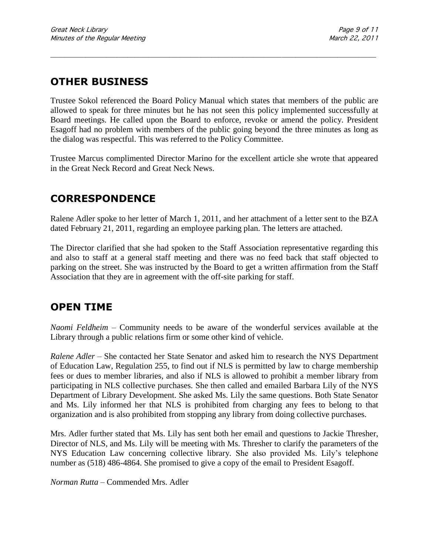# **OTHER BUSINESS**

Trustee Sokol referenced the Board Policy Manual which states that members of the public are allowed to speak for three minutes but he has not seen this policy implemented successfully at Board meetings. He called upon the Board to enforce, revoke or amend the policy. President Esagoff had no problem with members of the public going beyond the three minutes as long as the dialog was respectful. This was referred to the Policy Committee.

\_\_\_\_\_\_\_\_\_\_\_\_\_\_\_\_\_\_\_\_\_\_\_\_\_\_\_\_\_\_\_\_\_\_\_\_\_\_\_\_\_\_\_\_\_\_\_\_\_\_\_\_\_\_\_\_\_\_\_\_\_\_\_\_\_\_\_\_\_\_\_\_\_\_\_\_\_\_\_\_\_\_\_\_\_\_\_\_\_\_\_\_\_

Trustee Marcus complimented Director Marino for the excellent article she wrote that appeared in the Great Neck Record and Great Neck News.

# **CORRESPONDENCE**

Ralene Adler spoke to her letter of March 1, 2011, and her attachment of a letter sent to the BZA dated February 21, 2011, regarding an employee parking plan. The letters are attached.

The Director clarified that she had spoken to the Staff Association representative regarding this and also to staff at a general staff meeting and there was no feed back that staff objected to parking on the street. She was instructed by the Board to get a written affirmation from the Staff Association that they are in agreement with the off-site parking for staff.

## **OPEN TIME**

*Naomi Feldheim* – Community needs to be aware of the wonderful services available at the Library through a public relations firm or some other kind of vehicle.

*Ralene Adler* – She contacted her State Senator and asked him to research the NYS Department of Education Law, Regulation 255, to find out if NLS is permitted by law to charge membership fees or dues to member libraries, and also if NLS is allowed to prohibit a member library from participating in NLS collective purchases. She then called and emailed Barbara Lily of the NYS Department of Library Development. She asked Ms. Lily the same questions. Both State Senator and Ms. Lily informed her that NLS is prohibited from charging any fees to belong to that organization and is also prohibited from stopping any library from doing collective purchases.

Mrs. Adler further stated that Ms. Lily has sent both her email and questions to Jackie Thresher, Director of NLS, and Ms. Lily will be meeting with Ms. Thresher to clarify the parameters of the NYS Education Law concerning collective library. She also provided Ms. Lily's telephone number as (518) 486-4864. She promised to give a copy of the email to President Esagoff.

*Norman Rutta* – Commended Mrs. Adler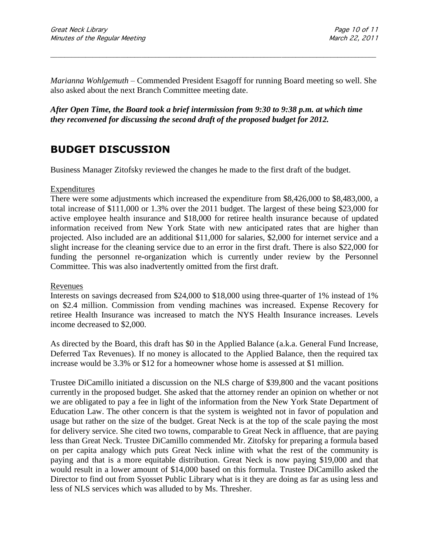*Marianna Wohlgemuth* – Commended President Esagoff for running Board meeting so well. She also asked about the next Branch Committee meeting date.

\_\_\_\_\_\_\_\_\_\_\_\_\_\_\_\_\_\_\_\_\_\_\_\_\_\_\_\_\_\_\_\_\_\_\_\_\_\_\_\_\_\_\_\_\_\_\_\_\_\_\_\_\_\_\_\_\_\_\_\_\_\_\_\_\_\_\_\_\_\_\_\_\_\_\_\_\_\_\_\_\_\_\_\_\_\_\_\_\_\_\_\_\_

*After Open Time, the Board took a brief intermission from 9:30 to 9:38 p.m. at which time they reconvened for discussing the second draft of the proposed budget for 2012.*

# **BUDGET DISCUSSION**

Business Manager Zitofsky reviewed the changes he made to the first draft of the budget.

### Expenditures

There were some adjustments which increased the expenditure from \$8,426,000 to \$8,483,000, a total increase of \$111,000 or 1.3% over the 2011 budget. The largest of these being \$23,000 for active employee health insurance and \$18,000 for retiree health insurance because of updated information received from New York State with new anticipated rates that are higher than projected. Also included are an additional \$11,000 for salaries, \$2,000 for internet service and a slight increase for the cleaning service due to an error in the first draft. There is also \$22,000 for funding the personnel re-organization which is currently under review by the Personnel Committee. This was also inadvertently omitted from the first draft.

### Revenues

Interests on savings decreased from \$24,000 to \$18,000 using three-quarter of 1% instead of 1% on \$2.4 million. Commission from vending machines was increased. Expense Recovery for retiree Health Insurance was increased to match the NYS Health Insurance increases. Levels income decreased to \$2,000.

As directed by the Board, this draft has \$0 in the Applied Balance (a.k.a. General Fund Increase, Deferred Tax Revenues). If no money is allocated to the Applied Balance, then the required tax increase would be 3.3% or \$12 for a homeowner whose home is assessed at \$1 million.

Trustee DiCamillo initiated a discussion on the NLS charge of \$39,800 and the vacant positions currently in the proposed budget. She asked that the attorney render an opinion on whether or not we are obligated to pay a fee in light of the information from the New York State Department of Education Law. The other concern is that the system is weighted not in favor of population and usage but rather on the size of the budget. Great Neck is at the top of the scale paying the most for delivery service. She cited two towns, comparable to Great Neck in affluence, that are paying less than Great Neck. Trustee DiCamillo commended Mr. Zitofsky for preparing a formula based on per capita analogy which puts Great Neck inline with what the rest of the community is paying and that is a more equitable distribution. Great Neck is now paying \$19,000 and that would result in a lower amount of \$14,000 based on this formula. Trustee DiCamillo asked the Director to find out from Syosset Public Library what is it they are doing as far as using less and less of NLS services which was alluded to by Ms. Thresher.